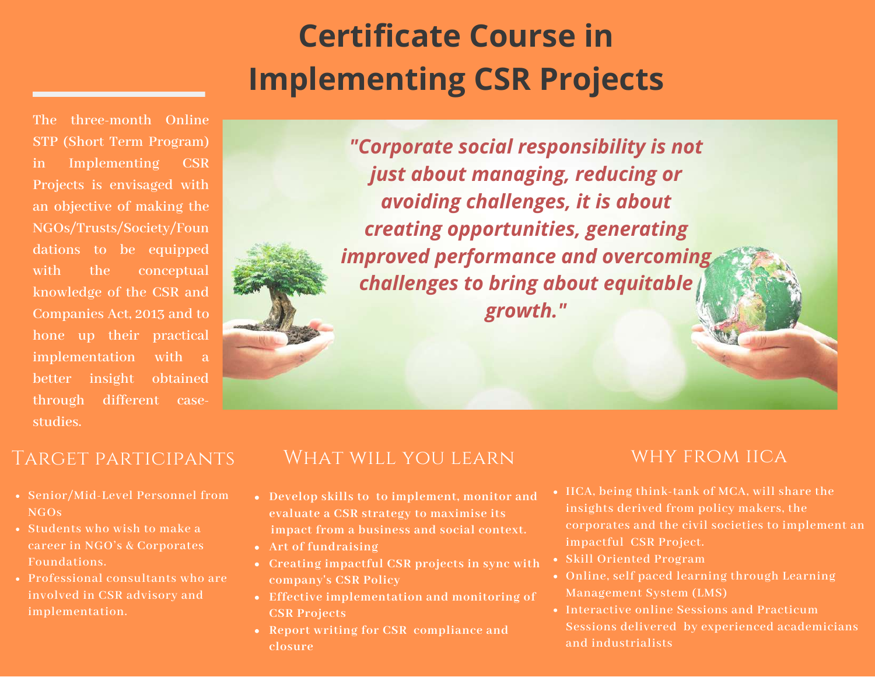# **Certificate Course in Implementing CSR Projects**

**The three-month Online STP (Short Term Program) in Implementing CSR Projects is envisaged with an objective of making the NGOs/Trusts/Society/Foun dations to be equipped with the conceptual knowledge of the CSR and Companies Act, 2013 and to hone up their practical implementation with a better insight obtained through different casestudies.**

*"Corporate social responsibility is not just about managing, reducing or avoiding challenges, it is about creating opportunities, generating improved performance and overcoming challenges to bring about equitable growth."*

# Target participants

- **Senior/Mid-Level Personnel from NGOs**
- **Students who wish to make a career in NGO's & Corporates Foundations.**
- **Professional consultants who are involved in CSR advisory and implementation.**

# WHAT WILL YOU LEARN

- **Develop skills to to implement, monitor and evaluate a CSR strategy to maximise its impact from a business and social context.**
- **Art of fundraising**
- **Creating impactful CSR projects in sync with company's CSR Policy**
- **Effective implementation and monitoring of CSR Projects**
- **Report writing for CSR compliance and closure**

### WHY FROM IICA

- **IICA, being think-tank of MCA, will share the insights derived from policy makers, the corporates and the civil societies to implement an impactful CSR Project.**
- **Skill Oriented Program**
- **Online, self paced learning through Learning Management System (LMS)**
- **Interactive online Sessions and Practicum Sessions delivered by experienced academicians and industrialists**